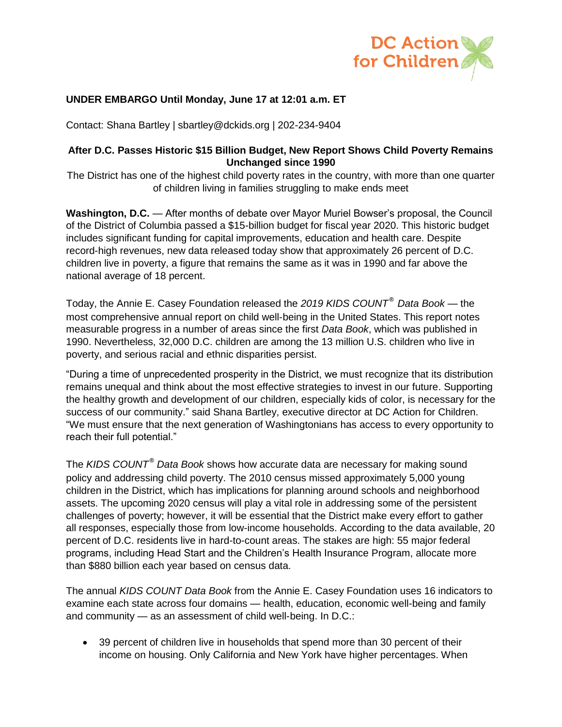

# **UNDER EMBARGO Until Monday, June 17 at 12:01 a.m. ET**

Contact: Shana Bartley | sbartley@dckids.org | 202-234-9404

### **After D.C. Passes Historic \$15 Billion Budget, New Report Shows Child Poverty Remains Unchanged since 1990**

The District has one of the highest child poverty rates in the country, with more than one quarter of children living in families struggling to make ends meet

**Washington, D.C.** — After months of debate over Mayor Muriel Bowser's proposal, the Council of the District of Columbia passed a \$15-billion budget for fiscal year 2020. This historic budget includes significant funding for capital improvements, education and health care. Despite record-high revenues, new data released today show that approximately 26 percent of D.C. children live in poverty, a figure that remains the same as it was in 1990 and far above the national average of 18 percent.

Today, the Annie E. Casey Foundation released the *2019 KIDS COUNT® Data Book* — the most comprehensive annual report on child well-being in the United States. This report notes measurable progress in a number of areas since the first *Data Book*, which was published in 1990. Nevertheless, 32,000 D.C. children are among the 13 million U.S. children who live in poverty, and serious racial and ethnic disparities persist.

"During a time of unprecedented prosperity in the District, we must recognize that its distribution remains unequal and think about the most effective strategies to invest in our future. Supporting the healthy growth and development of our children, especially kids of color, is necessary for the success of our community." said Shana Bartley, executive director at DC Action for Children. "We must ensure that the next generation of Washingtonians has access to every opportunity to reach their full potential."

The *KIDS COUNT® Data Book* shows how accurate data are necessary for making sound policy and addressing child poverty. The 2010 census missed approximately 5,000 young children in the District, which has implications for planning around schools and neighborhood assets. The upcoming 2020 census will play a vital role in addressing some of the persistent challenges of poverty; however, it will be essential that the District make every effort to gather all responses, especially those from low-income households. According to the data available, 20 percent of D.C. residents live in hard-to-count areas. The stakes are high: 55 major federal programs, including Head Start and the Children's Health Insurance Program, allocate more than \$880 billion each year based on census data.

The annual *KIDS COUNT Data Book* from the Annie E. Casey Foundation uses 16 indicators to examine each state across four domains — health, education, economic well-being and family and community — as an assessment of child well-being. In D.C.:

• 39 percent of children live in households that spend more than 30 percent of their income on housing. Only California and New York have higher percentages. When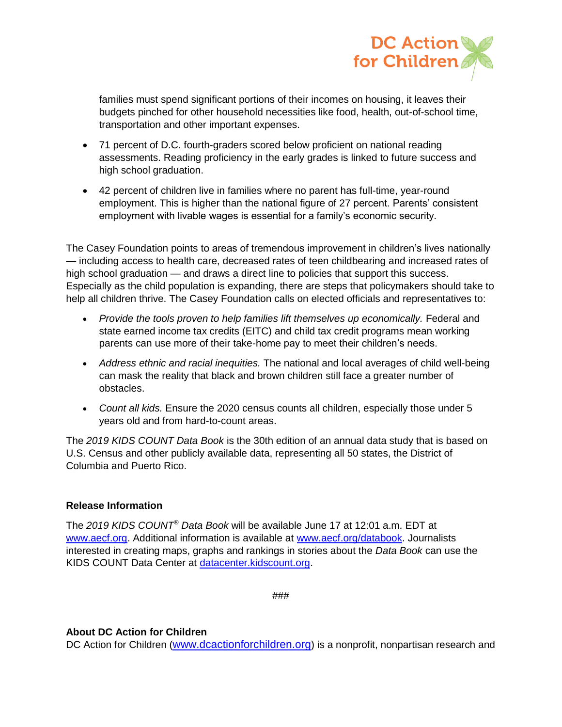

families must spend significant portions of their incomes on housing, it leaves their budgets pinched for other household necessities like food, health, out-of-school time, transportation and other important expenses.

- 71 percent of D.C. fourth-graders scored below proficient on national reading assessments. Reading proficiency in the early grades is linked to future success and high school graduation.
- 42 percent of children live in families where no parent has full-time, year-round employment. This is higher than the national figure of 27 percent. Parents' consistent employment with livable wages is essential for a family's economic security.

The Casey Foundation points to areas of tremendous improvement in children's lives nationally — including access to health care, decreased rates of teen childbearing and increased rates of high school graduation — and draws a direct line to policies that support this success. Especially as the child population is expanding, there are steps that policymakers should take to help all children thrive. The Casey Foundation calls on elected officials and representatives to:

- *Provide the tools proven to help families lift themselves up economically.* Federal and state earned income tax credits (EITC) and child tax credit programs mean working parents can use more of their take-home pay to meet their children's needs.
- *Address ethnic and racial inequities.* The national and local averages of child well-being can mask the reality that black and brown children still face a greater number of obstacles.
- *Count all kids.* Ensure the 2020 census counts all children, especially those under 5 years old and from hard-to-count areas.

The *2019 KIDS COUNT Data Book* is the 30th edition of an annual data study that is based on U.S. Census and other publicly available data, representing all 50 states, the District of Columbia and Puerto Rico.

# **Release Information**

The *2019 KIDS COUNT® Data Book* will be available June 17 at 12:01 a.m. EDT at [www.aecf.org.](file:///C:/Users/bboughamer/AppData/Local/Microsoft/Windows/INetCache/Content.Outlook/U9MF7906/www.aecf.org) Additional information is available at [www.aecf.org/databook.](file:///C:/Users/bboughamer/AppData/Local/Microsoft/Windows/INetCache/Content.Outlook/U9MF7906/www.aecf.org/databook) Journalists interested in creating maps, graphs and rankings in stories about the *Data Book* can use the KIDS COUNT Data Center at [datacenter.kidscount.org.](file:///C:/Users/bboughamer/AppData/Local/Microsoft/Windows/INetCache/Content.Outlook/U9MF7906/datacenter.kidscount.org)

###

# **About DC Action for Children**

DC Action for Children ([www.dcactionforchildren.org](http://www.dcactionforchildren.org/)) is a nonprofit, nonpartisan research and